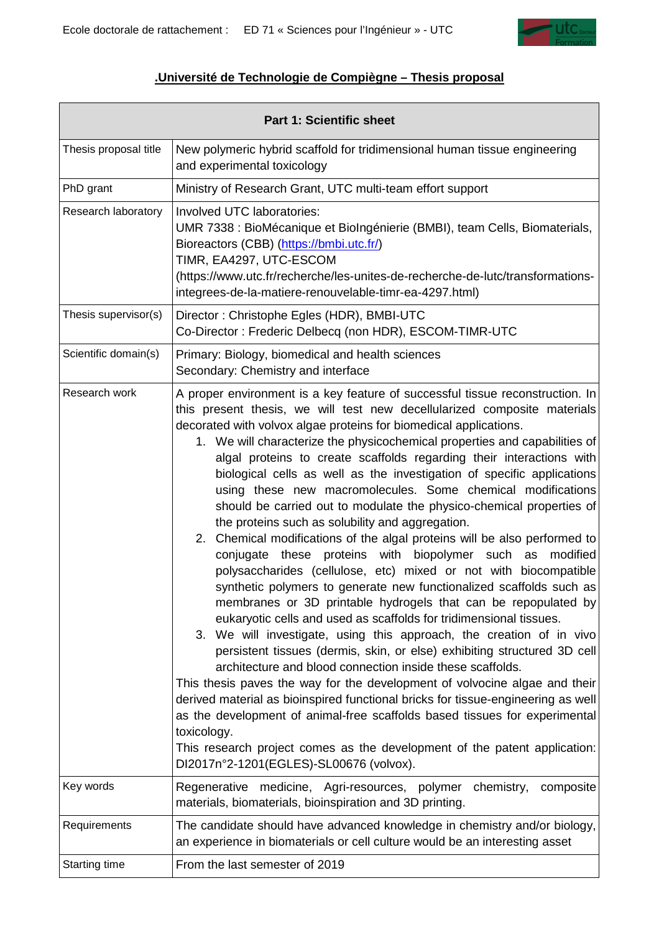

## **.Université de Technologie de Compiègne – Thesis proposal**

| <b>Part 1: Scientific sheet</b> |                                                                                                                                                                                                                                                                                                                                                                                                                                                                                                                                                                                                                                                                                                                                                                                                                                                                                                                                                                                                                                                                                                                                                                                                                                                                                                                                                                                                                                                                                                                                                                                                                                                                                                            |
|---------------------------------|------------------------------------------------------------------------------------------------------------------------------------------------------------------------------------------------------------------------------------------------------------------------------------------------------------------------------------------------------------------------------------------------------------------------------------------------------------------------------------------------------------------------------------------------------------------------------------------------------------------------------------------------------------------------------------------------------------------------------------------------------------------------------------------------------------------------------------------------------------------------------------------------------------------------------------------------------------------------------------------------------------------------------------------------------------------------------------------------------------------------------------------------------------------------------------------------------------------------------------------------------------------------------------------------------------------------------------------------------------------------------------------------------------------------------------------------------------------------------------------------------------------------------------------------------------------------------------------------------------------------------------------------------------------------------------------------------------|
| Thesis proposal title           | New polymeric hybrid scaffold for tridimensional human tissue engineering<br>and experimental toxicology                                                                                                                                                                                                                                                                                                                                                                                                                                                                                                                                                                                                                                                                                                                                                                                                                                                                                                                                                                                                                                                                                                                                                                                                                                                                                                                                                                                                                                                                                                                                                                                                   |
| PhD grant                       | Ministry of Research Grant, UTC multi-team effort support                                                                                                                                                                                                                                                                                                                                                                                                                                                                                                                                                                                                                                                                                                                                                                                                                                                                                                                                                                                                                                                                                                                                                                                                                                                                                                                                                                                                                                                                                                                                                                                                                                                  |
| Research laboratory             | Involved UTC laboratories:<br>UMR 7338 : BioMécanique et BioIngénierie (BMBI), team Cells, Biomaterials,<br>Bioreactors (CBB) (https://bmbi.utc.fr/)<br>TIMR, EA4297, UTC-ESCOM<br>(https://www.utc.fr/recherche/les-unites-de-recherche-de-lutc/transformations-<br>integrees-de-la-matiere-renouvelable-timr-ea-4297.html)                                                                                                                                                                                                                                                                                                                                                                                                                                                                                                                                                                                                                                                                                                                                                                                                                                                                                                                                                                                                                                                                                                                                                                                                                                                                                                                                                                               |
| Thesis supervisor(s)            | Director: Christophe Egles (HDR), BMBI-UTC<br>Co-Director: Frederic Delbecq (non HDR), ESCOM-TIMR-UTC                                                                                                                                                                                                                                                                                                                                                                                                                                                                                                                                                                                                                                                                                                                                                                                                                                                                                                                                                                                                                                                                                                                                                                                                                                                                                                                                                                                                                                                                                                                                                                                                      |
| Scientific domain(s)            | Primary: Biology, biomedical and health sciences<br>Secondary: Chemistry and interface                                                                                                                                                                                                                                                                                                                                                                                                                                                                                                                                                                                                                                                                                                                                                                                                                                                                                                                                                                                                                                                                                                                                                                                                                                                                                                                                                                                                                                                                                                                                                                                                                     |
| Research work                   | A proper environment is a key feature of successful tissue reconstruction. In<br>this present thesis, we will test new decellularized composite materials<br>decorated with volvox algae proteins for biomedical applications.<br>1. We will characterize the physicochemical properties and capabilities of<br>algal proteins to create scaffolds regarding their interactions with<br>biological cells as well as the investigation of specific applications<br>using these new macromolecules. Some chemical modifications<br>should be carried out to modulate the physico-chemical properties of<br>the proteins such as solubility and aggregation.<br>2. Chemical modifications of the algal proteins will be also performed to<br>proteins with biopolymer such<br>modified<br>conjugate<br>these<br>as<br>polysaccharides (cellulose, etc) mixed or not with biocompatible<br>synthetic polymers to generate new functionalized scaffolds such as<br>membranes or 3D printable hydrogels that can be repopulated by<br>eukaryotic cells and used as scaffolds for tridimensional tissues.<br>3. We will investigate, using this approach, the creation of in vivo<br>persistent tissues (dermis, skin, or else) exhibiting structured 3D cell<br>architecture and blood connection inside these scaffolds.<br>This thesis paves the way for the development of volvocine algae and their<br>derived material as bioinspired functional bricks for tissue-engineering as well<br>as the development of animal-free scaffolds based tissues for experimental<br>toxicology.<br>This research project comes as the development of the patent application:<br>DI2017n°2-1201(EGLES)-SL00676 (volvox). |
| Key words                       | Regenerative medicine, Agri-resources, polymer chemistry,<br>composite<br>materials, biomaterials, bioinspiration and 3D printing.                                                                                                                                                                                                                                                                                                                                                                                                                                                                                                                                                                                                                                                                                                                                                                                                                                                                                                                                                                                                                                                                                                                                                                                                                                                                                                                                                                                                                                                                                                                                                                         |
| Requirements                    | The candidate should have advanced knowledge in chemistry and/or biology,<br>an experience in biomaterials or cell culture would be an interesting asset                                                                                                                                                                                                                                                                                                                                                                                                                                                                                                                                                                                                                                                                                                                                                                                                                                                                                                                                                                                                                                                                                                                                                                                                                                                                                                                                                                                                                                                                                                                                                   |
| Starting time                   | From the last semester of 2019                                                                                                                                                                                                                                                                                                                                                                                                                                                                                                                                                                                                                                                                                                                                                                                                                                                                                                                                                                                                                                                                                                                                                                                                                                                                                                                                                                                                                                                                                                                                                                                                                                                                             |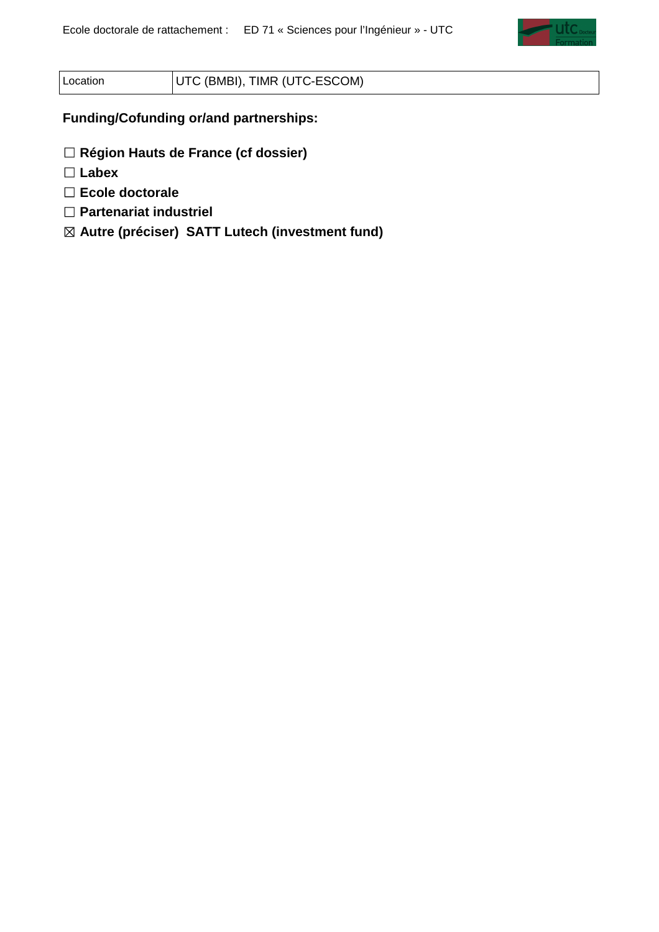

## Location | UTC (BMBI), TIMR (UTC-ESCOM)

**Funding/Cofunding or/and partnerships:** 

☐ **Région Hauts de France (cf dossier)** 

☐ **Labex** 

☐ **Ecole doctorale** 

☐ **Partenariat industriel** 

☒ **Autre (préciser) SATT Lutech (investment fund)**